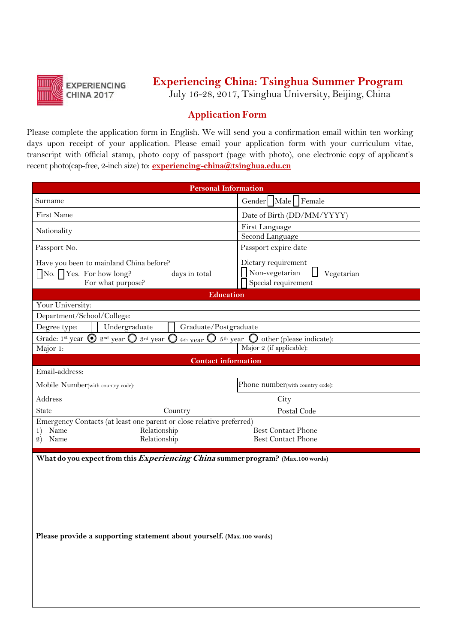

## **Experiencing China: Tsinghua Summer Program**

July 16-28, 2017, Tsinghua University, Beijing, China

## **Application Form**

Please complete the application form in English. We will send you a confirmation email within ten working days upon receipt of your application. Please email your application form with your curriculum vitae, transcript with 0fficial stamp, photo copy of passport (page with photo), one electronic copy of applicant's recent photo(cap-free, 2-inch size) to: **experiencing-china@tsinghua.edu.cn**

| <b>Personal Information</b>                                                                                                                                                                                     |                                                                                           |
|-----------------------------------------------------------------------------------------------------------------------------------------------------------------------------------------------------------------|-------------------------------------------------------------------------------------------|
| Surname                                                                                                                                                                                                         | Gender   Male   Female                                                                    |
| First Name                                                                                                                                                                                                      | Date of Birth (DD/MM/YYYY)                                                                |
| Nationality                                                                                                                                                                                                     | First Language                                                                            |
|                                                                                                                                                                                                                 | Second Language                                                                           |
| Passport No.                                                                                                                                                                                                    | Passport expire date                                                                      |
| Have you been to mainland China before?<br>$\Box$ No. $\Box$ Yes. For how long?<br>days in total<br>For what purpose?                                                                                           | Dietary requirement<br>$\prod$ Non-vegetarian<br>l I<br>Vegetarian<br>Special requirement |
| <b>Education</b>                                                                                                                                                                                                |                                                                                           |
| Your University:<br>Department/School/College:                                                                                                                                                                  |                                                                                           |
| Degree type:<br>Undergraduate<br>Graduate/Postgraduate                                                                                                                                                          |                                                                                           |
| Grade: 1 <sup>st</sup> year $\bigcirc$ 2 <sup>nd</sup> year $\bigcirc$ 3 <sup>rd</sup> year $\bigcirc$<br>$5th$ year $\bigcirc$ other (please indicate):<br>4 <sup>th</sup> year $\mathbf{\mathbf{\mathbb{C}}}$ |                                                                                           |
| Major 1:                                                                                                                                                                                                        | Major 2 (if applicable):                                                                  |
| <b>Contact information</b>                                                                                                                                                                                      |                                                                                           |
| Email-address:                                                                                                                                                                                                  |                                                                                           |
| Mobile Number(with country code):                                                                                                                                                                               | Phone number(with country code):                                                          |
| Address                                                                                                                                                                                                         | City                                                                                      |
| <b>State</b><br>Country                                                                                                                                                                                         | Postal Code                                                                               |
| Emergency Contacts (at least one parent or close relative preferred)<br>Relationship<br>Name<br>1)<br>Name<br>Relationship<br>$\mathfrak{D}$                                                                    | <b>Best Contact Phone</b><br><b>Best Contact Phone</b>                                    |
| What do you expect from this <i>Experiencing China</i> summer program? (Max.100 words)                                                                                                                          |                                                                                           |
|                                                                                                                                                                                                                 |                                                                                           |
|                                                                                                                                                                                                                 |                                                                                           |
|                                                                                                                                                                                                                 |                                                                                           |
|                                                                                                                                                                                                                 |                                                                                           |
|                                                                                                                                                                                                                 |                                                                                           |
| Please provide a supporting statement about yourself. (Max.100 words)                                                                                                                                           |                                                                                           |
|                                                                                                                                                                                                                 |                                                                                           |
|                                                                                                                                                                                                                 |                                                                                           |
|                                                                                                                                                                                                                 |                                                                                           |
|                                                                                                                                                                                                                 |                                                                                           |
|                                                                                                                                                                                                                 |                                                                                           |